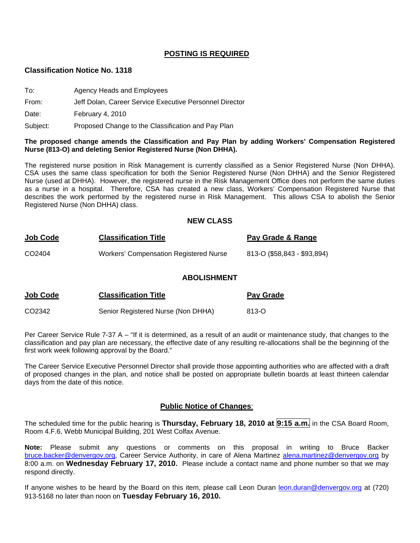## **POSTING IS REQUIRED**

#### **Classification Notice No. 1318**

- To: Agency Heads and Employees
- From: Jeff Dolan, Career Service Executive Personnel Director

Date: February 4, 2010

Subject: Proposed Change to the Classification and Pay Plan

#### **The proposed change amends the Classification and Pay Plan by adding Workers' Compensation Registered Nurse (813-O) and deleting Senior Registered Nurse (Non DHHA).**

The registered nurse position in Risk Management is currently classified as a Senior Registered Nurse (Non DHHA). CSA uses the same class specification for both the Senior Registered Nurse (Non DHHA) and the Senior Registered Nurse (used at DHHA). However, the registered nurse in the Risk Management Office does not perform the same duties as a nurse in a hospital. Therefore, CSA has created a new class, Workers' Compensation Registered Nurse that describes the work performed by the registered nurse in Risk Management. This allows CSA to abolish the Senior Registered Nurse (Non DHHA) class.

#### **NEW CLASS**

| Job Code | <b>Classification Title</b>            | Pay Grade & Range           |
|----------|----------------------------------------|-----------------------------|
| CO2404   | Workers' Compensation Registered Nurse | 813-0 (\$58,843 - \$93,894) |

#### **ABOLISHMENT**

| <u>Job Code</u> | <b>Classification Title</b>        | <b>Pay Grade</b> |
|-----------------|------------------------------------|------------------|
| CO2342          | Senior Registered Nurse (Non DHHA) | 813-O            |

Per Career Service Rule 7-37 A – "If it is determined, as a result of an audit or maintenance study, that changes to the classification and pay plan are necessary, the effective date of any resulting re-allocations shall be the beginning of the first work week following approval by the Board."

The Career Service Executive Personnel Director shall provide those appointing authorities who are affected with a draft of proposed changes in the plan, and notice shall be posted on appropriate bulletin boards at least thirteen calendar days from the date of this notice.

#### **Public Notice of Changes**:

The scheduled time for the public hearing is **Thursday, February 18, 2010 at 9:15 a.m.** in the CSA Board Room, Room 4.F.6, Webb Municipal Building, 201 West Colfax Avenue.

**Note:** Please submit any questions or comments on this proposal in writing to Bruce Backer [bruce.backer@denvergov.org,](mailto:bruce.backer@denvergov.org) Career Service Authority, in care of Alena Martinez [alena.martinez@denvergov.org](mailto:alena.martinez@denvergov.org) by 8:00 a.m. on **Wednesday February 17, 2010.** Please include a contact name and phone number so that we may respond directly.

If anyone wishes to be heard by the Board on this item, please call Leon Duran [leon.duran@denvergov.org](mailto:leon.duran@denvergov.org) at (720) 913-5168 no later than noon on **Tuesday February 16, 2010.**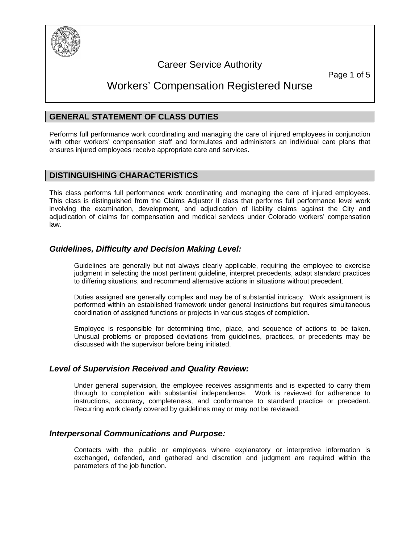

# Career Service Authority

Page 1 of 5

# Workers' Compensation Registered Nurse

## **GENERAL STATEMENT OF CLASS DUTIES**

Performs full performance work coordinating and managing the care of injured employees in conjunction with other workers' compensation staff and formulates and administers an individual care plans that ensures injured employees receive appropriate care and services.

## **DISTINGUISHING CHARACTERISTICS**

This class performs full performance work coordinating and managing the care of injured employees. This class is distinguished from the Claims Adjustor II class that performs full performance level work involving the examination, development, and adjudication of liability claims against the City and adjudication of claims for compensation and medical services under Colorado workers' compensation law.

## *Guidelines, Difficulty and Decision Making Level:*

Guidelines are generally but not always clearly applicable, requiring the employee to exercise judgment in selecting the most pertinent guideline, interpret precedents, adapt standard practices to differing situations, and recommend alternative actions in situations without precedent.

Duties assigned are generally complex and may be of substantial intricacy. Work assignment is performed within an established framework under general instructions but requires simultaneous coordination of assigned functions or projects in various stages of completion.

Employee is responsible for determining time, place, and sequence of actions to be taken. Unusual problems or proposed deviations from guidelines, practices, or precedents may be discussed with the supervisor before being initiated.

## *Level of Supervision Received and Quality Review:*

Under general supervision, the employee receives assignments and is expected to carry them through to completion with substantial independence. Work is reviewed for adherence to instructions, accuracy, completeness, and conformance to standard practice or precedent. Recurring work clearly covered by guidelines may or may not be reviewed.

## *Interpersonal Communications and Purpose:*

Contacts with the public or employees where explanatory or interpretive information is exchanged, defended, and gathered and discretion and judgment are required within the parameters of the job function.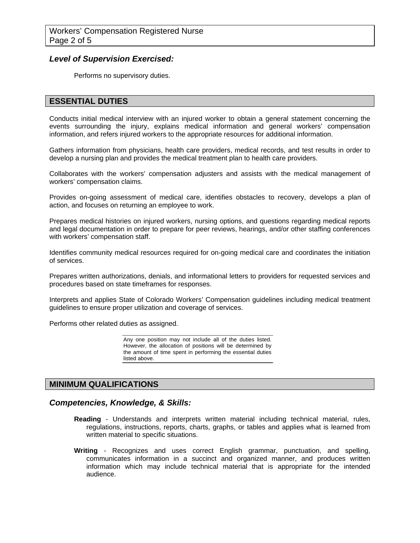## *Level of Supervision Exercised:*

Performs no supervisory duties.

## **ESSENTIAL DUTIES**

Conducts initial medical interview with an injured worker to obtain a general statement concerning the events surrounding the injury, explains medical information and general workers' compensation information, and refers injured workers to the appropriate resources for additional information.

Gathers information from physicians, health care providers, medical records, and test results in order to develop a nursing plan and provides the medical treatment plan to health care providers.

Collaborates with the workers' compensation adjusters and assists with the medical management of workers' compensation claims.

Provides on-going assessment of medical care, identifies obstacles to recovery, develops a plan of action, and focuses on returning an employee to work.

Prepares medical histories on injured workers, nursing options, and questions regarding medical reports and legal documentation in order to prepare for peer reviews, hearings, and/or other staffing conferences with workers' compensation staff.

Identifies community medical resources required for on-going medical care and coordinates the initiation of services.

Prepares written authorizations, denials, and informational letters to providers for requested services and procedures based on state timeframes for responses.

Interprets and applies State of Colorado Workers' Compensation guidelines including medical treatment guidelines to ensure proper utilization and coverage of services.

Performs other related duties as assigned.

Any one position may not include all of the duties listed. However, the allocation of positions will be determined by the amount of time spent in performing the essential duties listed above.

#### **MINIMUM QUALIFICATIONS**

#### *Competencies, Knowledge, & Skills:*

- **Reading** Understands and interprets written material including technical material, rules, regulations, instructions, reports, charts, graphs, or tables and applies what is learned from written material to specific situations.
- **Writing** Recognizes and uses correct English grammar, punctuation, and spelling, communicates information in a succinct and organized manner, and produces written information which may include technical material that is appropriate for the intended audience.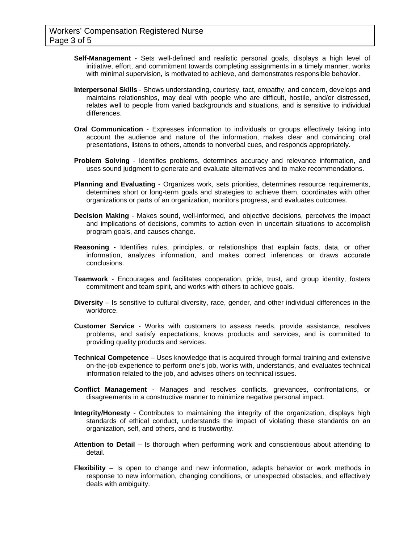- **Self-Management** Sets well-defined and realistic personal goals, displays a high level of initiative, effort, and commitment towards completing assignments in a timely manner, works with minimal supervision, is motivated to achieve, and demonstrates responsible behavior.
- **Interpersonal Skills** Shows understanding, courtesy, tact, empathy, and concern, develops and maintains relationships, may deal with people who are difficult, hostile, and/or distressed, relates well to people from varied backgrounds and situations, and is sensitive to individual differences.
- **Oral Communication** Expresses information to individuals or groups effectively taking into account the audience and nature of the information, makes clear and convincing oral presentations, listens to others, attends to nonverbal cues, and responds appropriately.
- **Problem Solving** Identifies problems, determines accuracy and relevance information, and uses sound judgment to generate and evaluate alternatives and to make recommendations.
- **Planning and Evaluating** Organizes work, sets priorities, determines resource requirements, determines short or long-term goals and strategies to achieve them, coordinates with other organizations or parts of an organization, monitors progress, and evaluates outcomes.
- **Decision Making** Makes sound, well-informed, and objective decisions, perceives the impact and implications of decisions, commits to action even in uncertain situations to accomplish program goals, and causes change.
- **Reasoning -** Identifies rules, principles, or relationships that explain facts, data, or other information, analyzes information, and makes correct inferences or draws accurate conclusions.
- **Teamwork**  Encourages and facilitates cooperation, pride, trust, and group identity, fosters commitment and team spirit, and works with others to achieve goals.
- **Diversity** Is sensitive to cultural diversity, race, gender, and other individual differences in the workforce.
- **Customer Service** Works with customers to assess needs, provide assistance, resolves problems, and satisfy expectations, knows products and services, and is committed to providing quality products and services.
- **Technical Competence** Uses knowledge that is acquired through formal training and extensive on-the-job experience to perform one's job, works with, understands, and evaluates technical information related to the job, and advises others on technical issues.
- **Conflict Management** Manages and resolves conflicts, grievances, confrontations, or disagreements in a constructive manner to minimize negative personal impact.
- **Integrity/Honesty** Contributes to maintaining the integrity of the organization, displays high standards of ethical conduct, understands the impact of violating these standards on an organization, self, and others, and is trustworthy.
- **Attention to Detail** Is thorough when performing work and conscientious about attending to detail.
- **Flexibility** Is open to change and new information, adapts behavior or work methods in response to new information, changing conditions, or unexpected obstacles, and effectively deals with ambiguity.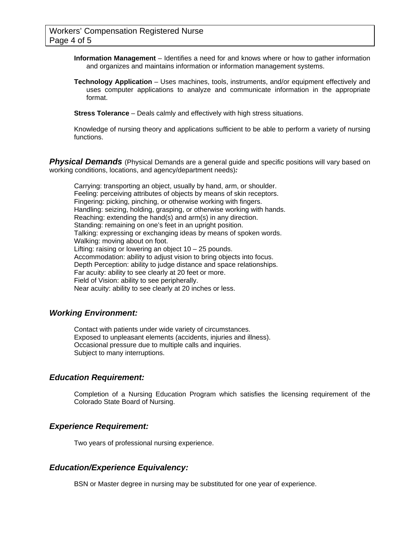**Information Management** – Identifies a need for and knows where or how to gather information and organizes and maintains information or information management systems.

**Technology Application** – Uses machines, tools, instruments, and/or equipment effectively and uses computer applications to analyze and communicate information in the appropriate format.

**Stress Tolerance** – Deals calmly and effectively with high stress situations.

Knowledge of nursing theory and applications sufficient to be able to perform a variety of nursing functions.

**Physical Demands** (Physical Demands are a general guide and specific positions will vary based on working conditions, locations, and agency/department needs)*:* 

Carrying: transporting an object, usually by hand, arm, or shoulder. Feeling: perceiving attributes of objects by means of skin receptors. Fingering: picking, pinching, or otherwise working with fingers. Handling: seizing, holding, grasping, or otherwise working with hands. Reaching: extending the hand(s) and arm(s) in any direction. Standing: remaining on one's feet in an upright position. Talking: expressing or exchanging ideas by means of spoken words. Walking: moving about on foot. Lifting: raising or lowering an object 10 – 25 pounds. Accommodation: ability to adjust vision to bring objects into focus. Depth Perception: ability to judge distance and space relationships. Far acuity: ability to see clearly at 20 feet or more. Field of Vision: ability to see peripherally. Near acuity: ability to see clearly at 20 inches or less.

#### *Working Environment:*

Contact with patients under wide variety of circumstances. Exposed to unpleasant elements (accidents, injuries and illness). Occasional pressure due to multiple calls and inquiries. Subject to many interruptions.

#### *Education Requirement:*

Completion of a Nursing Education Program which satisfies the licensing requirement of the Colorado State Board of Nursing.

#### *Experience Requirement:*

Two years of professional nursing experience.

## *Education/Experience Equivalency:*

BSN or Master degree in nursing may be substituted for one year of experience.